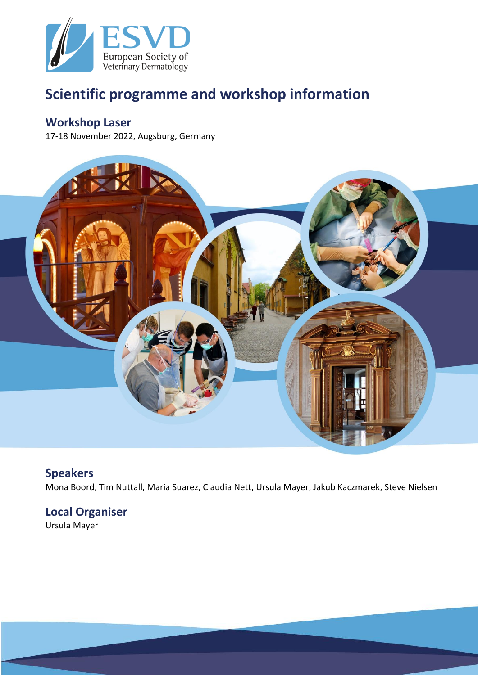

# **Scientific programme and workshop information**

# **Workshop Laser**

17-18 November 2022, Augsburg, Germany



# **Speakers**

Mona Boord, Tim Nuttall, Maria Suarez, Claudia Nett, Ursula Mayer, Jakub Kaczmarek, Steve Nielsen

# **Local Organiser**

Ursula Mayer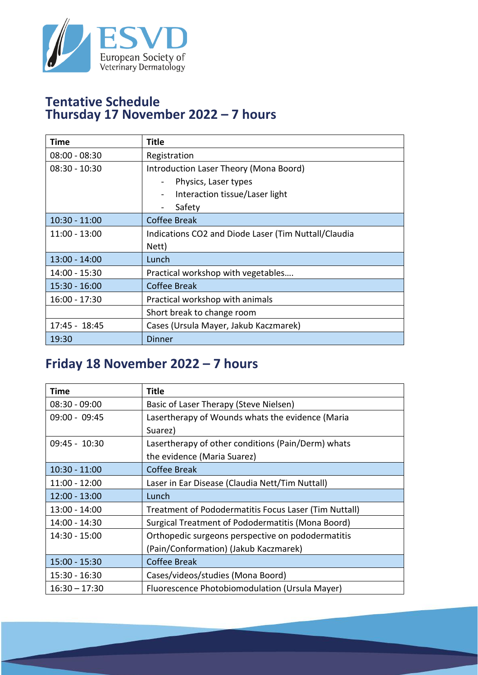

# **Tentative Schedule Thursday 17 November 2022 – 7 hours**

| <b>Time</b>     | <b>Title</b>                                         |
|-----------------|------------------------------------------------------|
| $08:00 - 08:30$ | Registration                                         |
| $08:30 - 10:30$ | Introduction Laser Theory (Mona Boord)               |
|                 | Physics, Laser types                                 |
|                 | Interaction tissue/Laser light                       |
|                 | Safety                                               |
| $10:30 - 11:00$ | <b>Coffee Break</b>                                  |
| $11:00 - 13:00$ | Indications CO2 and Diode Laser (Tim Nuttall/Claudia |
|                 | Nett)                                                |
| 13:00 - 14:00   | Lunch                                                |
| 14:00 - 15:30   | Practical workshop with vegetables                   |
| $15:30 - 16:00$ | <b>Coffee Break</b>                                  |
| 16:00 - 17:30   | Practical workshop with animals                      |
|                 | Short break to change room                           |
| 17:45 - 18:45   | Cases (Ursula Mayer, Jakub Kaczmarek)                |
| 19:30           | Dinner                                               |

# **Friday 18 November 2022 – 7 hours**

| <b>Time</b>     | <b>Title</b>                                          |
|-----------------|-------------------------------------------------------|
| $08:30 - 09:00$ | Basic of Laser Therapy (Steve Nielsen)                |
| $09:00 - 09:45$ | Lasertherapy of Wounds whats the evidence (Maria      |
|                 | Suarez)                                               |
| $09:45 - 10:30$ | Lasertherapy of other conditions (Pain/Derm) whats    |
|                 | the evidence (Maria Suarez)                           |
| $10:30 - 11:00$ | <b>Coffee Break</b>                                   |
| $11:00 - 12:00$ | Laser in Ear Disease (Claudia Nett/Tim Nuttall)       |
| $12:00 - 13:00$ | Lunch                                                 |
| $13:00 - 14:00$ | Treatment of Pododermatitis Focus Laser (Tim Nuttall) |
| 14:00 - 14:30   | Surgical Treatment of Pododermatitis (Mona Boord)     |
| 14:30 - 15:00   | Orthopedic surgeons perspective on pododermatitis     |
|                 | (Pain/Conformation) (Jakub Kaczmarek)                 |
| 15:00 - 15:30   | <b>Coffee Break</b>                                   |
| 15:30 - 16:30   | Cases/videos/studies (Mona Boord)                     |
| $16:30 - 17:30$ | Fluorescence Photobiomodulation (Ursula Mayer)        |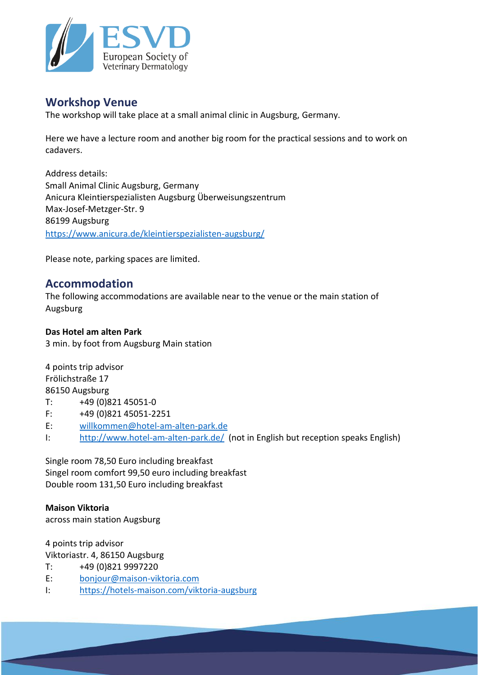

## **Workshop Venue**

The workshop will take place at a small animal clinic in Augsburg, Germany.

Here we have a lecture room and another big room for the practical sessions and to work on cadavers.

Address details: Small Animal Clinic Augsburg, Germany Anicura Kleintierspezialisten Augsburg Überweisungszentrum Max-Josef-Metzger-Str. 9 86199 Augsburg <https://www.anicura.de/kleintierspezialisten-augsburg/>

Please note, parking spaces are limited.

### **Accommodation**

The following accommodations are available near to the venue or the main station of Augsburg

#### **Das Hotel am alten Park**

3 min. by foot from Augsburg Main station

4 points trip advisor Frölichstraße 17 86150 Augsburg T: +49 (0)821 45051-0

- F: +49 (0)821 45051-2251
- E: [willkommen@hotel-am-alten-park.de](mailto:willkommen@hotel-am-alten-park.de)
- I: <http://www.hotel-am-alten-park.de/> (not in English but reception speaks English)

Single room 78,50 Euro including breakfast Singel room comfort 99,50 euro including breakfast Double room 131,50 Euro including breakfast

#### **Maison Viktoria**

across main station Augsburg

4 points trip advisor Viktoriastr. 4, 86150 Augsburg

- T: +49 (0)821 9997220
- E: [bonjour@maison-viktoria.com](mailto:bonjour@maison-viktoria.com)
- I: <https://hotels-maison.com/viktoria-augsburg>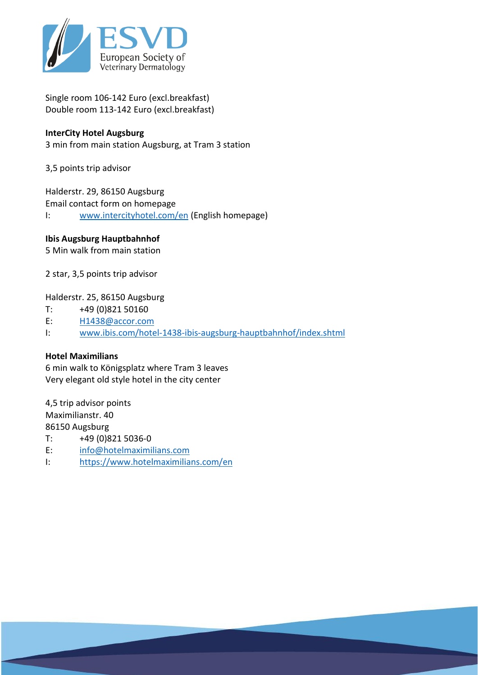

Single room 106-142 Euro (excl.breakfast) Double room 113-142 Euro (excl.breakfast)

#### **InterCity Hotel Augsburg**

3 min from main station Augsburg, at Tram 3 station

3,5 points trip advisor

Halderstr. 29, 86150 Augsburg Email contact form on homepage I: [www.intercityhotel.com/en](http://www.intercityhotel.com/en) (English homepage)

#### **Ibis Augsburg Hauptbahnhof**

5 Min walk from main station

2 star, 3,5 points trip advisor

#### Halderstr. 25, 86150 Augsburg

- T: +49 (0)821 50160
- E: [H1438@accor.com](mailto:H1438@accor.com)
- I: [www.ibis.com/hotel-1438-ibis-augsburg-hauptbahnhof/index.shtml](http://www.ibis.com/hotel-1438-ibis-augsburg-hauptbahnhof/index.shtml)

#### **Hotel Maximilians**

6 min walk to Königsplatz where Tram 3 leaves Very elegant old style hotel in the city center

4,5 trip advisor points Maximilianstr. 40 86150 Augsburg

- T: +49 (0)821 5036-0
- E: [info@hotelmaximilians.com](mailto:info@hotelmaximilians.com)
- I: <https://www.hotelmaximilians.com/en>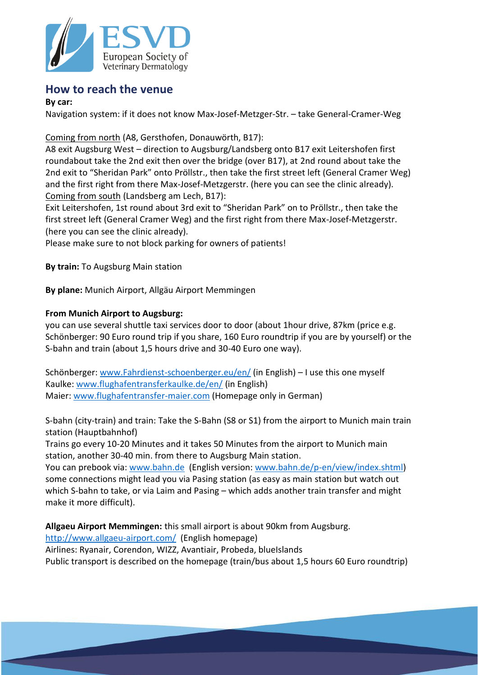

## **How to reach the venue**

#### **By car:**

Navigation system: if it does not know Max-Josef-Metzger-Str. – take General-Cramer-Weg

### Coming from north (A8, Gersthofen, Donauwörth, B17):

A8 exit Augsburg West – direction to Augsburg/Landsberg onto B17 exit Leitershofen first roundabout take the 2nd exit then over the bridge (over B17), at 2nd round about take the 2nd exit to "Sheridan Park" onto Pröllstr., then take the first street left (General Cramer Weg) and the first right from there Max-Josef-Metzgerstr. (here you can see the clinic already). Coming from south (Landsberg am Lech, B17):

Exit Leitershofen, 1st round about 3rd exit to "Sheridan Park" on to Pröllstr., then take the first street left (General Cramer Weg) and the first right from there Max-Josef-Metzgerstr. (here you can see the clinic already).

Please make sure to not block parking for owners of patients!

**By train:** To Augsburg Main station

**By plane:** Munich Airport, Allgäu Airport Memmingen

#### **From Munich Airport to Augsburg:**

you can use several shuttle taxi services door to door (about 1hour drive, 87km (price e.g. Schönberger: 90 Euro round trip if you share, 160 Euro roundtrip if you are by yourself) or the S-bahn and train (about 1,5 hours drive and 30-40 Euro one way).

Schönberger: [www.Fahrdienst-schoenberger.eu/en/](http://www.fahrdienst-schoenberger.eu/en/) (in English) – I use this one myself Kaulke: [www.flughafentransferkaulke.de/en/](http://www.flughafentransferkaulke.de/en/) (in English) Maier: [www.flughafentransfer-maier.com](http://www.flughafentransfer-maier.com/) (Homepage only in German)

S-bahn (city-train) and train: Take the S-Bahn (S8 or S1) from the airport to Munich main train station (Hauptbahnhof)

Trains go every 10-20 Minutes and it takes 50 Minutes from the airport to Munich main station, another 30-40 min. from there to Augsburg Main station.

You can prebook via: [www.bahn.de](http://www.bahn.de/) (English version: [www.bahn.de/p-en/view/index.shtml\)](http://www.bahn.de/p-en/view/index.shtml) some connections might lead you via Pasing station (as easy as main station but watch out which S-bahn to take, or via Laim and Pasing – which adds another train transfer and might make it more difficult).

**Allgaeu Airport Memmingen:** this small airport is about 90km from Augsburg.

<http://www.allgaeu-airport.com/> (English homepage)

Airlines: Ryanair, Corendon, WIZZ, Avantiair, Probeda, blueIslands Public transport is described on the homepage (train/bus about 1,5 hours 60 Euro roundtrip)